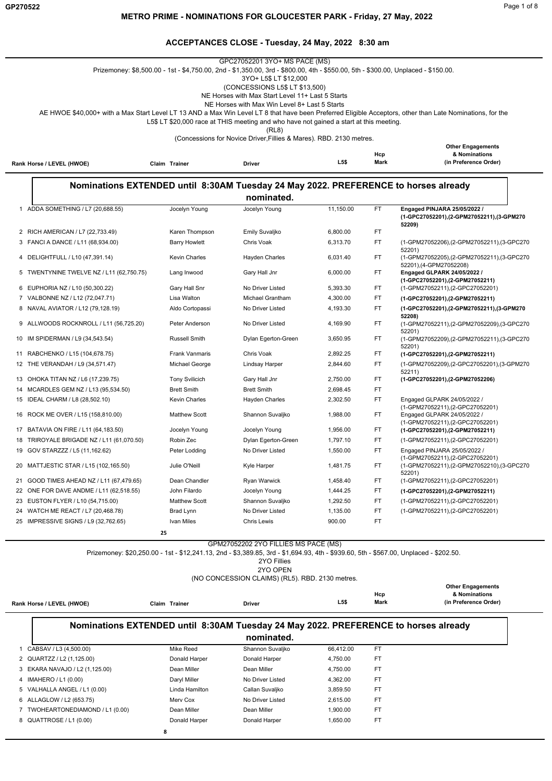$\overline{\phantom{a}}$ 

#### **METRO PRIME - NOMINATIONS FOR GLOUCESTER PARK - Friday, 27 May, 2022**

#### **ACCEPTANCES CLOSE - Tuesday, 24 May, 2022 8:30 am**

|    | Rank Horse / LEVEL (HWOE)                                                    | Claim Trainer                       | GPC27052201 3YO+ MS PACE (MS)<br>Prizemoney: \$8,500.00 - 1st - \$4,750.00, 2nd - \$1,350.00, 3rd - \$800.00, 4th - \$550.00, 5th - \$300.00, Unplaced - \$150.00.<br>3YO+ L5\$ LT \$12,000<br>(CONCESSIONS L5\$ LT \$13,500)<br>NE Horses with Max Start Level 11+ Last 5 Starts<br>NE Horses with Max Win Level 8+ Last 5 Starts<br>L5\$ LT \$20,000 race at THIS meeting and who have not gained a start at this meeting.<br>(RL8)<br>(Concessions for Novice Driver, Fillies & Mares). RBD. 2130 metres.<br>Driver | L5\$                 | Hcp<br>Mark | AE HWOE \$40,000+ with a Max Start Level LT 13 AND a Max Win Level LT 8 that have been Preferred Eligible Acceptors, other than Late Nominations, for the<br><b>Other Engagements</b><br>& Nominations<br>(in Preference Order) |
|----|------------------------------------------------------------------------------|-------------------------------------|------------------------------------------------------------------------------------------------------------------------------------------------------------------------------------------------------------------------------------------------------------------------------------------------------------------------------------------------------------------------------------------------------------------------------------------------------------------------------------------------------------------------|----------------------|-------------|---------------------------------------------------------------------------------------------------------------------------------------------------------------------------------------------------------------------------------|
|    |                                                                              |                                     |                                                                                                                                                                                                                                                                                                                                                                                                                                                                                                                        |                      |             |                                                                                                                                                                                                                                 |
|    |                                                                              |                                     | Nominations EXTENDED until 8:30AM Tuesday 24 May 2022. PREFERENCE to horses already<br>nominated.                                                                                                                                                                                                                                                                                                                                                                                                                      |                      |             |                                                                                                                                                                                                                                 |
|    | 1 ADDA SOMETHING / L7 (20,688.55)                                            | Jocelyn Young                       | Jocelyn Young                                                                                                                                                                                                                                                                                                                                                                                                                                                                                                          | 11,150.00            | <b>FT</b>   | Engaged PINJARA 25/05/2022 /<br>(1-GPC27052201),(2-GPM27052211),(3-GPM270<br>52209)                                                                                                                                             |
|    | 2 RICH AMERICAN / L7 (22,733.49)                                             | Karen Thompson                      | Emily Suvaljko                                                                                                                                                                                                                                                                                                                                                                                                                                                                                                         | 6,800.00             | FT          |                                                                                                                                                                                                                                 |
|    | 3 FANCI A DANCE / L11 (68,934.00)                                            | <b>Barry Howlett</b>                | Chris Voak                                                                                                                                                                                                                                                                                                                                                                                                                                                                                                             | 6,313.70             | FT          | (1-GPM27052206),(2-GPM27052211),(3-GPC270<br>52201)                                                                                                                                                                             |
| 4  | DELIGHTFULL / L10 (47,391.14)                                                | <b>Kevin Charles</b>                | Hayden Charles                                                                                                                                                                                                                                                                                                                                                                                                                                                                                                         | 6,031.40             | FT          | (1-GPM27052205),(2-GPM27052211),(3-GPC270<br>52201),(4-GPM27052208)                                                                                                                                                             |
|    | 5 TWENTYNINE TWELVE NZ / L11 (62,750.75)                                     | Lang Inwood                         | Gary Hall Jnr                                                                                                                                                                                                                                                                                                                                                                                                                                                                                                          | 6,000.00             | FT          | Engaged GLPARK 24/05/2022 /<br>(1-GPC27052201), (2-GPM27052211)                                                                                                                                                                 |
|    | 6 EUPHORIA NZ / L10 (50,300.22)                                              | Gary Hall Snr                       | No Driver Listed                                                                                                                                                                                                                                                                                                                                                                                                                                                                                                       | 5,393.30             | FT          | (1-GPM27052211), (2-GPC27052201)                                                                                                                                                                                                |
| 7  | VALBONNE NZ / L12 (72,047.71)                                                | Lisa Walton                         | Michael Grantham                                                                                                                                                                                                                                                                                                                                                                                                                                                                                                       | 4,300.00             | FT          | (1-GPC27052201),(2-GPM27052211)                                                                                                                                                                                                 |
| 8  | NAVAL AVIATOR / L12 (79,128.19)                                              | Aldo Cortopassi                     | No Driver Listed                                                                                                                                                                                                                                                                                                                                                                                                                                                                                                       | 4,193.30             | <b>FT</b>   | (1-GPC27052201),(2-GPM27052211),(3-GPM270<br>52208)                                                                                                                                                                             |
|    | 9 ALLWOODS ROCKNROLL / L11 (56,725.20)                                       | Peter Anderson                      | No Driver Listed                                                                                                                                                                                                                                                                                                                                                                                                                                                                                                       | 4,169.90             | FT          | (1-GPM27052211),(2-GPM27052209),(3-GPC270<br>52201)                                                                                                                                                                             |
|    | 10 IM SPIDERMAN / L9 (34,543.54)                                             | <b>Russell Smith</b>                | Dylan Egerton-Green                                                                                                                                                                                                                                                                                                                                                                                                                                                                                                    | 3,650.95             | FT          | (1-GPM27052209),(2-GPM27052211),(3-GPC270<br>52201)                                                                                                                                                                             |
|    | 11 RABCHENKO / L15 (104,678.75)                                              | Frank Vanmaris                      | Chris Voak                                                                                                                                                                                                                                                                                                                                                                                                                                                                                                             | 2,892.25             | FT          | (1-GPC27052201),(2-GPM27052211)                                                                                                                                                                                                 |
|    | 12 THE VERANDAH / L9 (34,571.47)                                             | Michael George                      | Lindsay Harper                                                                                                                                                                                                                                                                                                                                                                                                                                                                                                         | 2,844.60             | FT          | (1-GPM27052209),(2-GPC27052201),(3-GPM270<br>52211)                                                                                                                                                                             |
|    | 13 OHOKA TITAN NZ / L6 (17,239.75)                                           | <b>Tony Svilicich</b>               | Gary Hall Jnr                                                                                                                                                                                                                                                                                                                                                                                                                                                                                                          | 2,750.00             | FT<br>FT.   | (1-GPC27052201),(2-GPM27052206)                                                                                                                                                                                                 |
|    | 14 MCARDLES GEM NZ / L13 (95,534.50)<br>15 IDEAL CHARM / L8 (28,502.10)      | <b>Brett Smith</b><br>Kevin Charles | <b>Brett Smith</b><br>Hayden Charles                                                                                                                                                                                                                                                                                                                                                                                                                                                                                   | 2,698.45<br>2,302.50 | FT          | Engaged GLPARK 24/05/2022 /                                                                                                                                                                                                     |
|    | 16 ROCK ME OVER / L15 (158,810.00)                                           | <b>Matthew Scott</b>                | Shannon Suvaljko                                                                                                                                                                                                                                                                                                                                                                                                                                                                                                       | 1,988.00             | FT          | (1-GPM27052211),(2-GPC27052201)<br>Engaged GLPARK 24/05/2022 /                                                                                                                                                                  |
|    |                                                                              |                                     |                                                                                                                                                                                                                                                                                                                                                                                                                                                                                                                        |                      |             | (1-GPM27052211),(2-GPC27052201)                                                                                                                                                                                                 |
|    | 17 BATAVIA ON FIRE / L11 (64,183.50)                                         | Jocelyn Young                       | Jocelyn Young                                                                                                                                                                                                                                                                                                                                                                                                                                                                                                          | 1,956.00             | FT.         | (1-GPC27052201), (2-GPM27052211)                                                                                                                                                                                                |
|    | 18 TRIROYALE BRIGADE NZ / L11 (61,070.50)<br>19 GOV STARZZZ / L5 (11,162.62) | Robin Zec<br>Peter Lodding          | Dylan Egerton-Green<br>No Driver Listed                                                                                                                                                                                                                                                                                                                                                                                                                                                                                | 1,797.10<br>1,550.00 | FT.<br>FT   | (1-GPM27052211),(2-GPC27052201)<br>Engaged PINJARA 25/05/2022 /                                                                                                                                                                 |
|    | 20 MATTJESTIC STAR / L15 (102,165.50)                                        | Julie O'Neill                       | Kyle Harper                                                                                                                                                                                                                                                                                                                                                                                                                                                                                                            | 1,481.75             | <b>FT</b>   | (1-GPM27052211),(2-GPC27052201)<br>(1-GPM27052211),(2-GPM27052210),(3-GPC270                                                                                                                                                    |
|    |                                                                              |                                     |                                                                                                                                                                                                                                                                                                                                                                                                                                                                                                                        |                      |             | 52201)                                                                                                                                                                                                                          |
| 21 | GOOD TIMES AHEAD NZ / L11 (67,479.65)                                        | Dean Chandler                       | Ryan Warwick                                                                                                                                                                                                                                                                                                                                                                                                                                                                                                           | 1,458.40             | FT          | (1-GPM27052211),(2-GPC27052201)                                                                                                                                                                                                 |
|    | 22 ONE FOR DAVE ANDME / L11 (62,518.55)                                      | John Filardo                        | Jocelyn Young                                                                                                                                                                                                                                                                                                                                                                                                                                                                                                          | 1,444.25             | FT          | (1-GPC27052201), (2-GPM27052211)                                                                                                                                                                                                |
|    | 23 EUSTON FLYER / L10 (54,715.00)                                            | <b>Matthew Scott</b>                | Shannon Suvaljko                                                                                                                                                                                                                                                                                                                                                                                                                                                                                                       | 1,292.50             | FT.         | (1-GPM27052211), (2-GPC27052201)                                                                                                                                                                                                |
|    | 24 WATCH ME REACT / L7 (20,468.78)                                           | Brad Lynn                           | No Driver Listed                                                                                                                                                                                                                                                                                                                                                                                                                                                                                                       | 1,135.00             | FT          | (1-GPM27052211), (2-GPC27052201)                                                                                                                                                                                                |
|    | 25 IMPRESSIVE SIGNS / L9 (32,762.65)                                         | Ivan Miles<br>25                    | Chris Lewis                                                                                                                                                                                                                                                                                                                                                                                                                                                                                                            | 900.00               | FT          |                                                                                                                                                                                                                                 |
|    |                                                                              |                                     | GPM27052202 2YO FILLIES MS PACE (MS)<br>Prizemoney: \$20,250.00 - 1st - \$12,241.13, 2nd - \$3,389.85, 3rd - \$1,694.93, 4th - \$939.60, 5th - \$567.00, Unplaced - \$202.50.<br>2YO Fillies<br>2YO OPEN                                                                                                                                                                                                                                                                                                               |                      |             |                                                                                                                                                                                                                                 |

#### (NO CONCESSION CLAIMS) (RL5). RBD. 2130 metres.

| Rank Horse / LEVEL (HWOE) | Claim Trainer | <b>Driver</b> | L5\$ | Hcp<br><b>Mark</b> | <b>Other Engagements</b><br>& Nominations<br>(in Preference Order) |
|---------------------------|---------------|---------------|------|--------------------|--------------------------------------------------------------------|
|                           |               |               |      |                    |                                                                    |

# **Nominations EXTENDED until 8:30AM Tuesday 24 May 2022. PREFERENCE to horses already**

# **nominated.**

| CABSAV / L3 (4,500.00)           | Mike Reed      | Shannon Suvaljko | 66.412.00 | FT |
|----------------------------------|----------------|------------------|-----------|----|
| 2 QUARTZZ / L2 (1,125.00)        | Donald Harper  | Donald Harper    | 4,750.00  | FT |
| 3 EKARA NAVAJO / L2 (1,125.00)   | Dean Miller    | Dean Miller      | 4,750.00  | FT |
| 4 IMAHERO / L1 (0.00)            | Daryl Miller   | No Driver Listed | 4,362.00  | FT |
| 5 VALHALLA ANGEL / L1 (0.00)     | Linda Hamilton | Callan Suvaljko  | 3.859.50  | FT |
| 6 ALLAGLOW / L2 (653.75)         | Merv Cox       | No Driver Listed | 2.615.00  | FT |
| 7 TWOHEARTONEDIAMOND / L1 (0.00) | Dean Miller    | Dean Miller      | 1,900.00  | FT |
| 8 QUATTROSE / L1 (0.00)          | Donald Harper  | Donald Harper    | 1.650.00  | FT |
| 8                                |                |                  |           |    |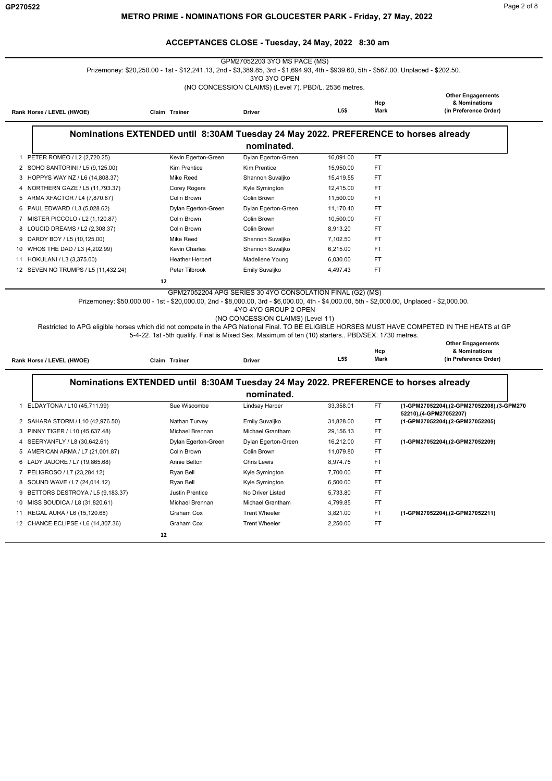GPM27052203 3YO MS PACE (MS) Prizemoney: \$20,250.00 - 1st - \$12,241.13, 2nd - \$3,389.85, 3rd - \$1,694.93, 4th - \$939.60, 5th - \$567.00, Unplaced - \$202.50.

3YO 3YO OPEN

(NO CONCESSION CLAIMS) (Level 7). PBD/L. 2536 metres.

|                           |               |               |      |      | <b>Other Engagements</b> |
|---------------------------|---------------|---------------|------|------|--------------------------|
|                           |               |               |      | Hcp  | & Nominations            |
| Rank Horse / LEVEL (HWOE) | Claim Trainer | <b>Driver</b> | L5\$ | Mark | (in Preference Order)    |
|                           |               |               |      |      |                          |

### **Nominations EXTENDED until 8:30AM Tuesday 24 May 2022. PREFERENCE to horses already**

|  | nominated. |
|--|------------|
|  |            |

|    | PETER ROMEO / L2 (2,720.25)         | Kevin Egerton-Green    | Dylan Egerton-Green | 16,091.00 | FT        |
|----|-------------------------------------|------------------------|---------------------|-----------|-----------|
|    | 2 SOHO SANTORINI / L5 (9,125.00)    | <b>Kim Prentice</b>    | <b>Kim Prentice</b> | 15.950.00 | FT        |
| 3  | HOPPYS WAY NZ / L6 (14,808.37)      | Mike Reed              | Shannon Suvaljko    | 15.419.55 | <b>FT</b> |
| 4  | NORTHERN GAZE / L5 (11,793.37)      | Corey Rogers           | Kyle Symington      | 12.415.00 | FT        |
| 5. | ARMA XFACTOR / L4 (7,870.87)        | Colin Brown            | Colin Brown         | 11.500.00 | FT        |
| 6  | PAUL EDWARD / L3 (5.028.62)         | Dylan Egerton-Green    | Dylan Egerton-Green | 11.170.40 | <b>FT</b> |
|    | MISTER PICCOLO / L2 (1,120.87)      | Colin Brown            | Colin Brown         | 10.500.00 | FT        |
| 8  | LOUCID DREAMS / L2 (2,308.37)       | Colin Brown            | Colin Brown         | 8,913.20  | FT        |
| 9  | DARDY BOY / L5 (10,125.00)          | Mike Reed              | Shannon Suvaljko    | 7,102.50  | FT        |
| 10 | WHOS THE DAD / L3 (4,202.99)        | <b>Kevin Charles</b>   | Shannon Suvaljko    | 6,215.00  | FT        |
| 11 | HOKULANI / L3 (3,375.00)            | <b>Heather Herbert</b> | Madeliene Young     | 6,030.00  | FT        |
|    | 12 SEVEN NO TRUMPS / L5 (11,432.24) | Peter Tilbrook         | Emily Suvaljko      | 4,497.43  | <b>FT</b> |
|    |                                     | 12                     |                     |           |           |
|    |                                     |                        |                     |           |           |

GPM27052204 APG SERIES 30 4YO CONSOLATION FINAL (G2) (MS)

Prizemoney: \$50,000.00 - 1st - \$20,000.00, 2nd - \$8,000.00, 3rd - \$6,000.00, 4th - \$4,000.00, 5th - \$2,000.00, Unplaced - \$2,000.00.

4YO 4YO GROUP 2 OPEN

(NO CONCESSION CLAIMS) (Level 11)

Restricted to APG eligible horses which did not compete in the APG National Final. TO BE ELIGIBLE HORSES MUST HAVE COMPETED IN THE HEATS at GP 5-4-22. 1st -5th qualify. Final is Mixed Sex. Maximum of ten (10) starters.. PBD/SEX. 1730 metres.

| Rank Horse / LEVEL (HWOE)          | Claim Trainer                                                                       | <b>Driver</b>        | <b>L5\$</b> | Hcp<br>Mark | <b>Other Engagements</b><br>& Nominations<br>(in Preference Order)   |
|------------------------------------|-------------------------------------------------------------------------------------|----------------------|-------------|-------------|----------------------------------------------------------------------|
|                                    | Nominations EXTENDED until 8:30AM Tuesday 24 May 2022. PREFERENCE to horses already |                      |             |             |                                                                      |
|                                    |                                                                                     | nominated.           |             |             |                                                                      |
| 1 ELDAYTONA / L10 (45,711.99)      | Sue Wiscombe                                                                        | Lindsay Harper       | 33,358.01   | FT          | (1-GPM27052204),(2-GPM27052208),(3-GPM270<br>52210), (4-GPM27052207) |
| 2 SAHARA STORM / L10 (42,976.50)   | Nathan Turvey                                                                       | Emily Suvaljko       | 31,828.00   | FT          | (1-GPM27052204),(2-GPM27052205)                                      |
| 3 PINNY TIGER / L10 (45,637.48)    | Michael Brennan                                                                     | Michael Grantham     | 29,156.13   | FT          |                                                                      |
| 4 SEERYANFLY / L8 (30,642.61)      | Dylan Egerton-Green                                                                 | Dylan Egerton-Green  | 16,212.00   | FT          | (1-GPM27052204),(2-GPM27052209)                                      |
| 5 AMERICAN ARMA / L7 (21,001.87)   | Colin Brown                                                                         | Colin Brown          | 11,079.80   | FT          |                                                                      |
| 6 LADY JADORE / L7 (19,865.68)     | Annie Belton                                                                        | Chris Lewis          | 8,974.75    | <b>FT</b>   |                                                                      |
| 7 PELIGROSO / L7 (23,284.12)       | Ryan Bell                                                                           | Kyle Symington       | 7,700.00    | FT          |                                                                      |
| 8 SOUND WAVE / L7 (24,014.12)      | Ryan Bell                                                                           | Kyle Symington       | 6,500.00    | FT          |                                                                      |
| 9 BETTORS DESTROYA / L5 (9,183.37) | Justin Prentice                                                                     | No Driver Listed     | 5,733.80    | FT          |                                                                      |
| 10 MISS BOUDICA / L8 (31,820.61)   | Michael Brennan                                                                     | Michael Grantham     | 4,799.85    | <b>FT</b>   |                                                                      |
| 11 REGAL AURA / L6 (15,120.68)     | Graham Cox                                                                          | <b>Trent Wheeler</b> | 3,821.00    | FT          | (1-GPM27052204),(2-GPM27052211)                                      |

12 CHANCE ECLIPSE / L6 (14,307.36) Graham Cox Trent Wheeler 2,250.00 FT

 **12**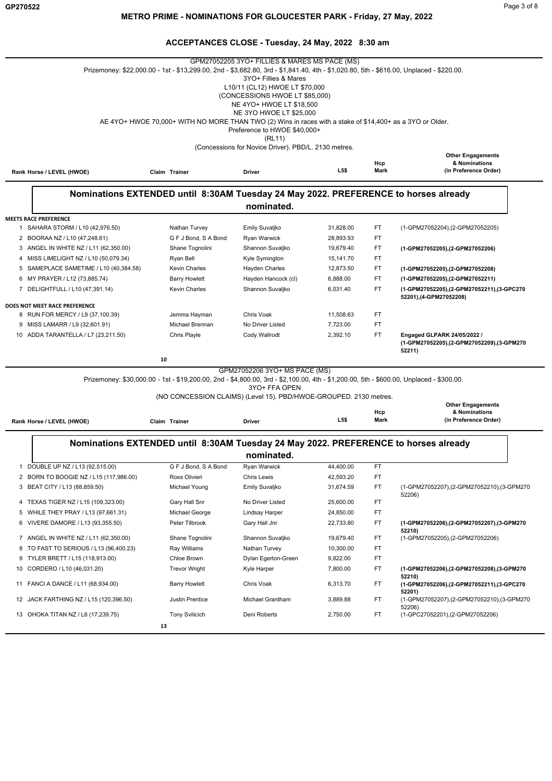|                                                                            |                                                                                                                                         | GPM27052205 3YO+ FILLIES & MARES MS PACE (MS)        |                        |             |                                                                                    |
|----------------------------------------------------------------------------|-----------------------------------------------------------------------------------------------------------------------------------------|------------------------------------------------------|------------------------|-------------|------------------------------------------------------------------------------------|
|                                                                            | Prizemoney: \$22,000.00 - 1st - \$13,299.00, 2nd - \$3,682.80, 3rd - \$1,841.40, 4th - \$1,020.80, 5th - \$616.00, Unplaced - \$220.00. | 3YO+ Fillies & Mares                                 |                        |             |                                                                                    |
|                                                                            |                                                                                                                                         | L10/11 (CL12) HWOE LT \$70,000                       |                        |             |                                                                                    |
|                                                                            |                                                                                                                                         | (CONCESSIONS HWOE LT \$85,000)                       |                        |             |                                                                                    |
|                                                                            |                                                                                                                                         | NE 4YO+ HWOE LT \$18,500                             |                        |             |                                                                                    |
|                                                                            |                                                                                                                                         | NE 3YO HWOE LT \$25,000                              |                        |             |                                                                                    |
|                                                                            | AE 4YO+ HWOE 70,000+ WITH NO MORE THAN TWO (2) Wins in races with a stake of \$14,400+ as a 3YO or Older.                               |                                                      |                        |             |                                                                                    |
|                                                                            |                                                                                                                                         | Preference to HWOE \$40,000+<br>(RL11)               |                        |             |                                                                                    |
|                                                                            |                                                                                                                                         | (Concessions for Novice Driver). PBD/L. 2130 metres. |                        |             |                                                                                    |
|                                                                            |                                                                                                                                         |                                                      |                        |             | <b>Other Engagements</b>                                                           |
|                                                                            |                                                                                                                                         |                                                      |                        | Hcp         | & Nominations                                                                      |
| Rank Horse / LEVEL (HWOE)                                                  | Claim Trainer                                                                                                                           | Driver                                               | L5\$                   | Mark        | (in Preference Order)                                                              |
|                                                                            |                                                                                                                                         |                                                      |                        |             |                                                                                    |
|                                                                            | Nominations EXTENDED until 8:30AM Tuesday 24 May 2022. PREFERENCE to horses already                                                     |                                                      |                        |             |                                                                                    |
|                                                                            |                                                                                                                                         | nominated.                                           |                        |             |                                                                                    |
| <b>MEETS RACE PREFERENCE</b>                                               |                                                                                                                                         |                                                      |                        |             |                                                                                    |
| 1 SAHARA STORM / L10 (42,976.50)                                           | Nathan Turvey                                                                                                                           | Emily Suvaljko                                       | 31,828.00              | FT          | (1-GPM27052204), (2-GPM27052205)                                                   |
| 2 BOORAA NZ / L10 (47,248.61)                                              | G F J Bond, S A Bond                                                                                                                    | Ryan Warwick                                         | 28,893.93              | FT          |                                                                                    |
| 3 ANGEL IN WHITE NZ / L11 (62,350.00)                                      | Shane Tognolini                                                                                                                         | Shannon Suvaljko                                     | 19.679.40              | FT          | (1-GPM27052205),(2-GPM27052206)                                                    |
| 4 MISS LIMELIGHT NZ / L10 (50,079.34)                                      | Ryan Bell                                                                                                                               | Kyle Symington                                       | 15,141.70              | FT          |                                                                                    |
| 5 SAMEPLACE SAMETIME / L10 (40,384.58)                                     | <b>Kevin Charles</b>                                                                                                                    | Hayden Charles                                       | 12.873.50              | FT.         | (1-GPM27052205),(2-GPM27052208)                                                    |
| 6 MY PRAYER / L12 (73,885.74)                                              | <b>Barry Howlett</b>                                                                                                                    | Hayden Hancock (cl)                                  | 6,888.00               | FT          | (1-GPM27052205),(2-GPM27052211)                                                    |
| 7 DELIGHTFULL / L10 (47,391.14)                                            | <b>Kevin Charles</b>                                                                                                                    | Shannon Suvaljko                                     | 6,031.40               | FT          | (1-GPM27052205),(2-GPM27052211),(3-GPC270<br>52201),(4-GPM27052208)                |
| DOES NOT MEET RACE PREFERENCE                                              |                                                                                                                                         |                                                      |                        |             |                                                                                    |
| 8 RUN FOR MERCY / L9 (37,100.39)                                           | Jemma Hayman                                                                                                                            | Chris Voak                                           | 11,508.63              | FT          |                                                                                    |
| 9 MISS LAMARR / L9 (32,601.91)                                             | Michael Brennan                                                                                                                         | No Driver Listed                                     | 7,723.00               | FT          |                                                                                    |
| 10 ADDA TARANTELLA / L7 (23,211.50)                                        | Chris Playle                                                                                                                            | Cody Wallrodt                                        | 2,392.10               | FT          | Engaged GLPARK 24/05/2022 /<br>(1-GPM27052205),(2-GPM27052209),(3-GPM270<br>52211) |
|                                                                            | 10                                                                                                                                      |                                                      |                        |             |                                                                                    |
|                                                                            |                                                                                                                                         | GPM27052206 3YO+ MS PACE (MS)                        |                        |             |                                                                                    |
|                                                                            | Prizemoney: \$30,000.00 - 1st - \$19,200.00, 2nd - \$4,800.00, 3rd - \$2,100.00, 4th - \$1,200.00, 5th - \$600.00, Unplaced - \$300.00. | 3YO+ FFA OPEN                                        |                        |             |                                                                                    |
|                                                                            | (NO CONCESSION CLAIMS) (Level 15). PBD/HWOE-GROUPED. 2130 metres.                                                                       |                                                      |                        |             |                                                                                    |
|                                                                            |                                                                                                                                         |                                                      |                        |             | <b>Other Engagements</b>                                                           |
|                                                                            |                                                                                                                                         |                                                      | L5\$                   | Hcp<br>Mark | & Nominations<br>(in Preference Order)                                             |
| Rank Horse / LEVEL (HWOE)                                                  | Claim Trainer                                                                                                                           | <b>Driver</b>                                        |                        |             |                                                                                    |
|                                                                            | Nominations EXTENDED until 8:30AM Tuesday 24 May 2022. PREFERENCE to horses already                                                     |                                                      |                        |             |                                                                                    |
|                                                                            |                                                                                                                                         | nominated.                                           |                        |             |                                                                                    |
|                                                                            |                                                                                                                                         |                                                      |                        |             |                                                                                    |
| 1 DOUBLE UP NZ / L13 (92,515.00)<br>2 BORN TO BOOGIE NZ / L15 (117,986.00) | G F J Bond, S A Bond<br>Ross Olivieri                                                                                                   | Ryan Warwick                                         | 44,400.00<br>42,593.20 | FT.<br>FT   |                                                                                    |
|                                                                            |                                                                                                                                         | Chris Lewis                                          |                        |             |                                                                                    |
| 3 BEAT CITY / L13 (88,859.50)                                              | Michael Young                                                                                                                           | Emily Suvaljko                                       | 31,674.59              | FT          | (1-GPM27052207),(2-GPM27052210),(3-GPM270<br>52206)                                |
| 4 TEXAS TIGER NZ / L15 (109,323.00)                                        | Gary Hall Snr                                                                                                                           | No Driver Listed                                     | 25,600.00<br>24,850.00 | FT.         |                                                                                    |
| 5 WHILE THEY PRAY / L13 (97,661.31)                                        | Michael George                                                                                                                          | Lindsay Harper                                       |                        | FT          |                                                                                    |
| 6 VIVERE DAMORE / L13 (93,355.50)                                          | Peter Tilbrook                                                                                                                          | Gary Hall Jnr                                        | 22,733.80              | FT          | (1-GPM27052206),(2-GPM27052207),(3-GPM270<br>52210)                                |
| 7 ANGEL IN WHITE NZ / L11 (62,350.00)                                      | Shane Tognolini                                                                                                                         | Shannon Suvaljko                                     | 19,679.40              | FT          | (1-GPM27052205),(2-GPM27052206)                                                    |
| 8 TO FAST TO SERIOUS / L13 (96,400.23)                                     | Ray Williams                                                                                                                            | Nathan Turvey                                        | 10,300.00              | FT.         |                                                                                    |
| 9 TYLER BRETT / L15 (118,913.00)                                           | Chloe Brown                                                                                                                             | Dylan Egerton-Green                                  | 9,822.00               | FT          |                                                                                    |
| 10 CORDERO / L10 (46,031.20)                                               | <b>Trevor Wright</b>                                                                                                                    | Kyle Harper                                          | 7,800.00               | FT.         | (1-GPM27052206),(2-GPM27052208),(3-GPM270                                          |

**52210)**

6,313.70

3,889.88

**52201)**

52206)<br>(1-GPC27052201),(2-GPM27052206)

11 FANCI A DANCE / L11 (68,934.00) Barry Howlett Chris Voak 6,313.70 FT (1-GPM27052206),(2-GPM27052211),(3-GPC270 12 JACK FARTHING NZ / L15 (120,396.50) Justin Prentice Michael Grantham FT (1-GPM27052207),(2-GPM27052210),(3-GPM270

 **13**

13 OHOKA TITAN NZ / L6 (17,239.75) Tony Svilicich Deni Roberts 2,750.00 FT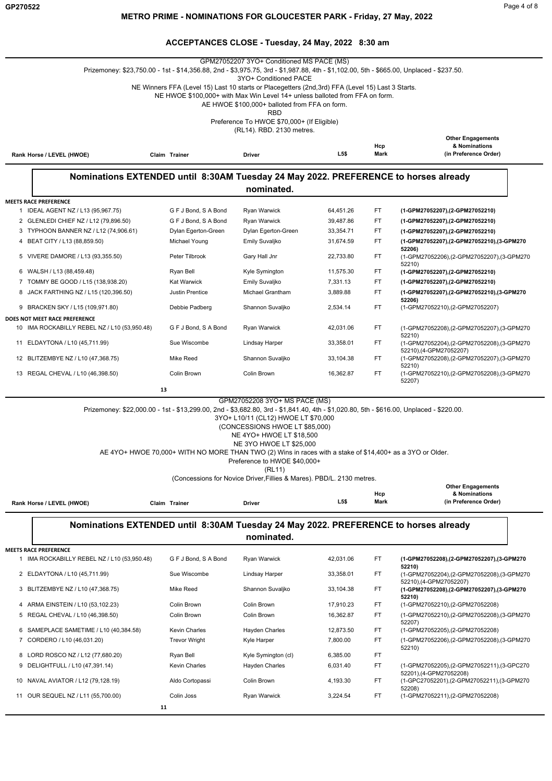|                                                                               |                                              | GPM27052207 3YO+ Conditioned MS PACE (MS)<br>Prizemoney: \$23,750.00 - 1st - \$14,356.88, 2nd - \$3,975.75, 3rd - \$1,987.88, 4th - \$1,102.00, 5th - \$665.00, Unplaced - \$237.50.                                                                                                                                                                                                                                           |                        |             |                                                                               |
|-------------------------------------------------------------------------------|----------------------------------------------|--------------------------------------------------------------------------------------------------------------------------------------------------------------------------------------------------------------------------------------------------------------------------------------------------------------------------------------------------------------------------------------------------------------------------------|------------------------|-------------|-------------------------------------------------------------------------------|
|                                                                               |                                              | 3YO+ Conditioned PACE<br>NE Winners FFA (Level 15) Last 10 starts or Placegetters (2nd, 3rd) FFA (Level 15) Last 3 Starts.<br>NE HWOE \$100,000+ with Max Win Level 14+ unless balloted from FFA on form.<br>AE HWOE \$100,000+ balloted from FFA on form.                                                                                                                                                                     |                        |             |                                                                               |
|                                                                               |                                              | <b>RBD</b><br>Preference To HWOE \$70,000+ (If Eligible)                                                                                                                                                                                                                                                                                                                                                                       |                        |             |                                                                               |
| Rank Horse / LEVEL (HWOE)                                                     | Claim Trainer                                | (RL14). RBD. 2130 metres.<br>Driver                                                                                                                                                                                                                                                                                                                                                                                            | L5\$                   | Hcp<br>Mark | <b>Other Engagements</b><br>& Nominations<br>(in Preference Order)            |
|                                                                               |                                              |                                                                                                                                                                                                                                                                                                                                                                                                                                |                        |             |                                                                               |
|                                                                               |                                              | Nominations EXTENDED until 8:30AM Tuesday 24 May 2022. PREFERENCE to horses already<br>nominated.                                                                                                                                                                                                                                                                                                                              |                        |             |                                                                               |
| <b>MEETS RACE PREFERENCE</b><br>1 IDEAL AGENT NZ / L13 (95,967.75)            | G F J Bond, S A Bond                         | Ryan Warwick                                                                                                                                                                                                                                                                                                                                                                                                                   | 64,451.26              | FT.         | (1-GPM27052207),(2-GPM27052210)                                               |
| 2 GLENLEDI CHIEF NZ / L12 (79,896.50)                                         | G F J Bond, S A Bond                         | Ryan Warwick                                                                                                                                                                                                                                                                                                                                                                                                                   | 39,487.86              | FT          | (1-GPM27052207),(2-GPM27052210)                                               |
| 3 TYPHOON BANNER NZ / L12 (74,906.61)                                         | Dylan Egerton-Green                          | Dylan Egerton-Green                                                                                                                                                                                                                                                                                                                                                                                                            | 33,354.71              | FT          | (1-GPM27052207),(2-GPM27052210)                                               |
| 4 BEAT CITY / L13 (88,859.50)                                                 | Michael Young                                | Emily Suvaljko                                                                                                                                                                                                                                                                                                                                                                                                                 | 31,674.59              | FT          | (1-GPM27052207).(2-GPM27052210).(3-GPM270                                     |
| 5 VIVERE DAMORE / L13 (93,355.50)                                             | Peter Tilbrook                               | Gary Hall Jnr                                                                                                                                                                                                                                                                                                                                                                                                                  | 22,733.80              | FT          | 52206)<br>(1-GPM27052206),(2-GPM27052207),(3-GPM270                           |
| 6 WALSH / L13 (88,459.48)                                                     | Ryan Bell                                    | Kyle Symington                                                                                                                                                                                                                                                                                                                                                                                                                 | 11,575.30              | FT.         | 52210)<br>(1-GPM27052207),(2-GPM27052210)                                     |
| 7 TOMMY BE GOOD / L15 (138,938.20)                                            | <b>Kat Warwick</b>                           | Emily Suvaljko                                                                                                                                                                                                                                                                                                                                                                                                                 | 7,331.13               | FT.         | (1-GPM27052207),(2-GPM27052210)                                               |
| 8 JACK FARTHING NZ / L15 (120,396.50)                                         | Justin Prentice                              | Michael Grantham                                                                                                                                                                                                                                                                                                                                                                                                               | 3,889.88               | FT          | (1-GPM27052207),(2-GPM27052210),(3-GPM270<br>52206)                           |
| 9 BRACKEN SKY / L15 (109,971.80)                                              | Debbie Padberg                               | Shannon Suvaljko                                                                                                                                                                                                                                                                                                                                                                                                               | 2,534.14               | FT          | (1-GPM27052210),(2-GPM27052207)                                               |
| DOES NOT MEET RACE PREFERENCE<br>10 IMA ROCKABILLY REBEL NZ / L10 (53,950.48) | G F J Bond, S A Bond                         | Ryan Warwick                                                                                                                                                                                                                                                                                                                                                                                                                   | 42,031.06              | FT.         | (1-GPM27052208),(2-GPM27052207),(3-GPM270                                     |
| 11 ELDAYTONA / L10 (45,711.99)                                                | Sue Wiscombe                                 | Lindsay Harper                                                                                                                                                                                                                                                                                                                                                                                                                 | 33,358.01              | FT          | 52210)<br>(1-GPM27052204),(2-GPM27052208),(3-GPM270                           |
| 12 BLITZEMBYE NZ / L10 (47,368.75)                                            | Mike Reed                                    | Shannon Suvaljko                                                                                                                                                                                                                                                                                                                                                                                                               | 33,104.38              | FT          | 52210), (4-GPM27052207)<br>(1-GPM27052208),(2-GPM27052207),(3-GPM270          |
| 13 REGAL CHEVAL / L10 (46,398.50)                                             | Colin Brown                                  | Colin Brown                                                                                                                                                                                                                                                                                                                                                                                                                    | 16,362.87              | FT          | 52210)<br>(1-GPM27052210),(2-GPM27052208),(3-GPM270<br>52207)                 |
|                                                                               |                                              | Prizemoney: \$22,000.00 - 1st - \$13,299.00, 2nd - \$3,682.80, 3rd - \$1,841.40, 4th - \$1,020.80, 5th - \$616.00, Unplaced - \$220.00.<br>3YO+ L10/11 (CL12) HWOE LT \$70,000<br>(CONCESSIONS HWOE LT \$85,000)<br>NE 4YO+ HWOE LT \$18,500<br>NE 3YO HWOE LT \$25,000<br>AE 4YO+ HWOE 70,000+ WITH NO MORE THAN TWO (2) Wins in races with a stake of \$14,400+ as a 3YO or Older.<br>Preference to HWOE \$40,000+<br>(RL11) |                        |             |                                                                               |
|                                                                               |                                              | (Concessions for Novice Driver, Fillies & Mares). PBD/L. 2130 metres.                                                                                                                                                                                                                                                                                                                                                          |                        |             | <b>Other Engagements</b>                                                      |
|                                                                               |                                              |                                                                                                                                                                                                                                                                                                                                                                                                                                |                        | Hcp         | & Nominations                                                                 |
| Rank Horse / LEVEL (HWOE)                                                     | Claim Trainer                                | Driver                                                                                                                                                                                                                                                                                                                                                                                                                         | L5\$                   | Mark        | (in Preference Order)                                                         |
|                                                                               |                                              | Nominations EXTENDED until 8:30AM Tuesday 24 May 2022. PREFERENCE to horses already<br>nominated.                                                                                                                                                                                                                                                                                                                              |                        |             |                                                                               |
| <b>MEETS RACE PREFERENCE</b>                                                  |                                              |                                                                                                                                                                                                                                                                                                                                                                                                                                |                        |             |                                                                               |
| 1 IMA ROCKABILLY REBEL NZ / L10 (53,950.48)                                   | G F J Bond, S A Bond                         | Ryan Warwick                                                                                                                                                                                                                                                                                                                                                                                                                   | 42,031.06              | FT          | (1-GPM27052208).(2-GPM27052207).(3-GPM270<br>52210)                           |
| 2 ELDAYTONA / L10 (45,711.99)                                                 | Sue Wiscombe                                 | Lindsay Harper                                                                                                                                                                                                                                                                                                                                                                                                                 | 33,358.01              | FT          | (1-GPM27052204),(2-GPM27052208),(3-GPM270<br>52210),(4-GPM27052207)           |
| BLITZEMBYE NZ / L10 (47,368.75)<br>3                                          | Mike Reed                                    | Shannon Suvaljko                                                                                                                                                                                                                                                                                                                                                                                                               | 33,104.38              | FT          | (1-GPM27052208),(2-GPM27052207),(3-GPM270<br>52210)                           |
| ARMA EINSTEIN / L10 (53,102.23)<br>4<br>5 REGAL CHEVAL / L10 (46,398.50)      | Colin Brown<br>Colin Brown                   | Colin Brown<br>Colin Brown                                                                                                                                                                                                                                                                                                                                                                                                     | 17,910.23<br>16,362.87 | FT<br>FT    | (1-GPM27052210), (2-GPM27052208)<br>(1-GPM27052210),(2-GPM27052208),(3-GPM270 |
|                                                                               |                                              |                                                                                                                                                                                                                                                                                                                                                                                                                                |                        |             | 52207)                                                                        |
| 6<br>SAMEPLACE SAMETIME / L10 (40,384.58)<br>CORDERO / L10 (46,031.20)<br>7   | <b>Kevin Charles</b><br><b>Trevor Wright</b> | Hayden Charles<br>Kyle Harper                                                                                                                                                                                                                                                                                                                                                                                                  | 12,873.50<br>7,800.00  | FT<br>FT    | (1-GPM27052205),(2-GPM27052208)<br>(1-GPM27052206),(2-GPM27052208),(3-GPM270  |
|                                                                               |                                              |                                                                                                                                                                                                                                                                                                                                                                                                                                |                        |             | 52210)                                                                        |
| 8 LORD ROSCO NZ / L12 (77,680.20)<br>9 DELIGHTFULL / L10 (47,391.14)          | Ryan Bell<br>Kevin Charles                   | Kyle Symington (cl)<br>Hayden Charles                                                                                                                                                                                                                                                                                                                                                                                          | 6,385.00<br>6,031.40   | FT<br>FT    | (1-GPM27052205),(2-GPM27052211),(3-GPC270                                     |
| 10 NAVAL AVIATOR / L12 (79,128.19)                                            | Aldo Cortopassi                              | Colin Brown                                                                                                                                                                                                                                                                                                                                                                                                                    | 4,193.30               | FT          | 52201),(4-GPM27052208)<br>(1-GPC27052201),(2-GPM27052211),(3-GPM270           |
| 11 OUR SEQUEL NZ / L11 (55,700.00)                                            | Colin Joss                                   | Ryan Warwick                                                                                                                                                                                                                                                                                                                                                                                                                   | 3,224.54               | FT          | 52208)<br>(1-GPM27052211), (2-GPM27052208)                                    |
|                                                                               |                                              |                                                                                                                                                                                                                                                                                                                                                                                                                                |                        |             |                                                                               |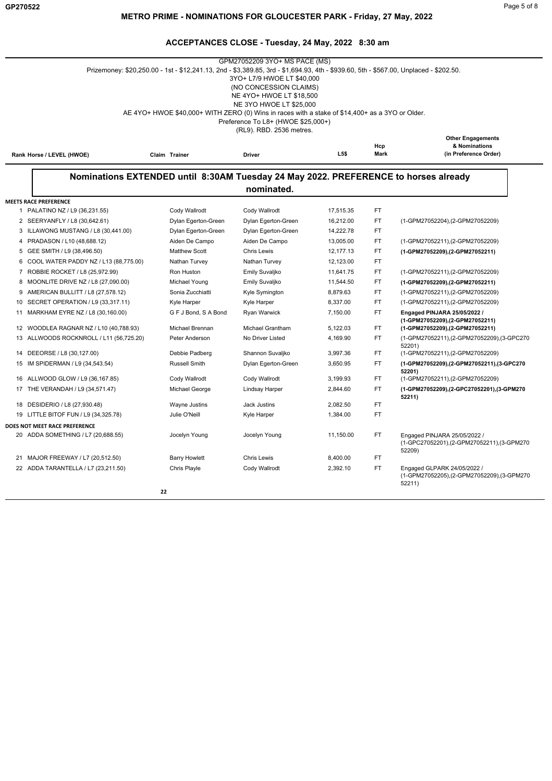|    |                                                                                     | Prizemoney: \$20,250.00 - 1st - \$12,241.13, 2nd - \$3,389.85, 3rd - \$1,694.93, 4th - \$939.60, 5th - \$567.00, Unplaced - \$202.50. | GPM27052209 3YO+ MS PACE (MS)<br>3YO+ L7/9 HWOE LT \$40,000<br>(NO CONCESSION CLAIMS)<br>NE 4YO+ HWOE LT \$18,500 |                  |           |                                                                                     |
|----|-------------------------------------------------------------------------------------|---------------------------------------------------------------------------------------------------------------------------------------|-------------------------------------------------------------------------------------------------------------------|------------------|-----------|-------------------------------------------------------------------------------------|
|    |                                                                                     |                                                                                                                                       | NE 3YO HWOE LT \$25,000                                                                                           |                  |           |                                                                                     |
|    |                                                                                     | AE 4YO+ HWOE \$40,000+ WITH ZERO (0) Wins in races with a stake of \$14,400+ as a 3YO or Older.                                       |                                                                                                                   |                  |           |                                                                                     |
|    |                                                                                     |                                                                                                                                       | Preference To L8+ (HWOE \$25,000+)                                                                                |                  |           |                                                                                     |
|    |                                                                                     |                                                                                                                                       | (RL9). RBD. 2536 metres.                                                                                          |                  |           | <b>Other Engagements</b>                                                            |
|    |                                                                                     |                                                                                                                                       |                                                                                                                   |                  | Hcp       | & Nominations                                                                       |
|    | Rank Horse / LEVEL (HWOE)                                                           | Claim Trainer                                                                                                                         | <b>Driver</b>                                                                                                     | L <sub>5\$</sub> | Mark      | (in Preference Order)                                                               |
|    | Nominations EXTENDED until 8:30AM Tuesday 24 May 2022. PREFERENCE to horses already |                                                                                                                                       |                                                                                                                   |                  |           |                                                                                     |
|    |                                                                                     |                                                                                                                                       | nominated.                                                                                                        |                  |           |                                                                                     |
|    | <b>MEETS RACE PREFERENCE</b>                                                        |                                                                                                                                       |                                                                                                                   |                  |           |                                                                                     |
|    | 1 PALATINO NZ / L9 (36,231.55)                                                      | Cody Wallrodt                                                                                                                         | Cody Wallrodt                                                                                                     | 17,515.35        | FT        |                                                                                     |
|    | 2 SEERYANFLY / L8 (30,642.61)                                                       | Dylan Egerton-Green                                                                                                                   | Dylan Egerton-Green                                                                                               | 16,212.00        | <b>FT</b> | (1-GPM27052204),(2-GPM27052209)                                                     |
|    | 3 ILLAWONG MUSTANG / L8 (30,441.00)                                                 | Dylan Egerton-Green                                                                                                                   | Dylan Egerton-Green                                                                                               | 14,222.78        | <b>FT</b> |                                                                                     |
|    | 4 PRADASON / L10 (48,688.12)                                                        | Aiden De Campo                                                                                                                        | Aiden De Campo                                                                                                    | 13,005.00        | <b>FT</b> | (1-GPM27052211),(2-GPM27052209)                                                     |
|    | 5 GEE SMITH / L9 (38,496.50)                                                        | <b>Matthew Scott</b>                                                                                                                  | <b>Chris Lewis</b>                                                                                                | 12,177.13        | FT        | (1-GPM27052209),(2-GPM27052211)                                                     |
|    | 6 COOL WATER PADDY NZ / L13 (88,775.00)                                             | Nathan Turvey                                                                                                                         | Nathan Turvey                                                                                                     | 12,123.00        | <b>FT</b> |                                                                                     |
|    | 7 ROBBIE ROCKET / L8 (25,972.99)                                                    | Ron Huston                                                                                                                            | Emily Suvaljko                                                                                                    | 11,641.75        | <b>FT</b> | (1-GPM27052211),(2-GPM27052209)                                                     |
| 8  | MOONLITE DRIVE NZ / L8 (27,090.00)                                                  | Michael Young                                                                                                                         | Emily Suvaljko                                                                                                    | 11,544.50        | FT        | (1-GPM27052209),(2-GPM27052211)                                                     |
| 9  | AMERICAN BULLITT / L8 (27,578.12)                                                   | Sonia Zucchiatti                                                                                                                      | Kyle Symington                                                                                                    | 8,879.63         | FT.       | (1-GPM27052211),(2-GPM27052209)                                                     |
| 10 | SECRET OPERATION / L9 (33,317.11)                                                   | Kyle Harper                                                                                                                           | Kyle Harper                                                                                                       | 8,337.00         | <b>FT</b> | (1-GPM27052211),(2-GPM27052209)                                                     |
| 11 | MARKHAM EYRE NZ / L8 (30,160.00)                                                    | G F J Bond, S A Bond                                                                                                                  | Ryan Warwick                                                                                                      | 7,150.00         | <b>FT</b> | Engaged PINJARA 25/05/2022 /<br>(1-GPM27052209),(2-GPM27052211)                     |
|    | 12 WOODLEA RAGNAR NZ / L10 (40,788.93)                                              | Michael Brennan                                                                                                                       | <b>Michael Grantham</b>                                                                                           | 5,122.03         | FT        | (1-GPM27052209),(2-GPM27052211)                                                     |
|    | 13 ALLWOODS ROCKNROLL / L11 (56,725.20)                                             | Peter Anderson                                                                                                                        | No Driver Listed                                                                                                  | 4,169.90         | FT.       | (1-GPM27052211),(2-GPM27052209),(3-GPC270<br>52201)                                 |
|    | 14 DEEORSE / L8 (30,127.00)                                                         | Debbie Padberg                                                                                                                        | Shannon Suvaljko                                                                                                  | 3,997.36         | FT.       | (1-GPM27052211),(2-GPM27052209)                                                     |
|    | 15 IM SPIDERMAN / L9 (34,543.54)                                                    | <b>Russell Smith</b>                                                                                                                  | Dylan Egerton-Green                                                                                               | 3,650.95         | FT.       | (1-GPM27052209),(2-GPM27052211),(3-GPC270<br>52201)                                 |
|    | 16 ALLWOOD GLOW / L9 (36,167.85)                                                    | Cody Wallrodt                                                                                                                         | Cody Wallrodt                                                                                                     | 3,199.93         | <b>FT</b> | (1-GPM27052211),(2-GPM27052209)                                                     |
|    | 17 THE VERANDAH / L9 (34,571.47)                                                    | Michael George                                                                                                                        | Lindsay Harper                                                                                                    | 2,844.60         | <b>FT</b> | (1-GPM27052209),(2-GPC27052201),(3-GPM270<br>52211)                                 |
| 18 | DESIDERIO / L8 (27,930.48)                                                          | Wayne Justins                                                                                                                         | <b>Jack Justins</b>                                                                                               | 2,082.50         | FT        |                                                                                     |
|    | 19 LITTLE BITOF FUN / L9 (34,325.78)                                                | Julie O'Neill                                                                                                                         | Kyle Harper                                                                                                       | 1,384.00         | <b>FT</b> |                                                                                     |
|    | DOES NOT MEET RACE PREFERENCE                                                       |                                                                                                                                       |                                                                                                                   |                  |           |                                                                                     |
|    | 20 ADDA SOMETHING / L7 (20,688.55)                                                  | Jocelyn Young                                                                                                                         | Jocelyn Young                                                                                                     | 11,150.00        | <b>FT</b> | Engaged PINJARA 25/05/2022 /<br>(1-GPC27052201),(2-GPM27052211),(3-GPM270<br>52209) |
|    | 21 MAJOR FREEWAY / L7 (20,512.50)                                                   | <b>Barry Howlett</b>                                                                                                                  | <b>Chris Lewis</b>                                                                                                | 8,400.00         | FT.       |                                                                                     |
|    | 22 ADDA TARANTELLA / L7 (23,211.50)                                                 | Chris Playle                                                                                                                          | Cody Wallrodt                                                                                                     | 2,392.10         | <b>FT</b> | Engaged GLPARK 24/05/2022 /<br>(1-GPM27052205),(2-GPM27052209),(3-GPM270<br>52211)  |
|    |                                                                                     | 22                                                                                                                                    |                                                                                                                   |                  |           |                                                                                     |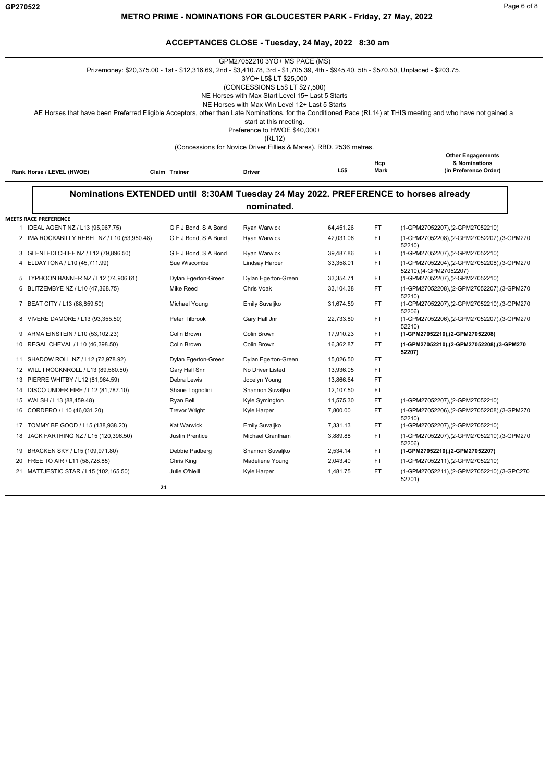# **METRO PRIME - NOMINATIONS FOR GLOUCESTER PARK - Friday, 27 May, 2022**

|                              |                                             | Prizemoney: \$20,375.00 - 1st - \$12,316.69, 2nd - \$3,410.78, 3rd - \$1,705.39, 4th - \$945.40, 5th - \$570.50, Unplaced - \$203.75. | GPM27052210 3YO+ MS PACE (MS)<br>3YO+ L5\$ LT \$25,000<br>(CONCESSIONS L5\$ LT \$27,500)<br>NE Horses with Max Start Level 15+ Last 5 Starts<br>NE Horses with Max Win Level 12+ Last 5 Starts<br>start at this meeting.<br>Preference to HWOE \$40,000+<br>(RL12)<br>(Concessions for Novice Driver, Fillies & Mares). RBD. 2536 metres. |           |                    | AE Horses that have been Preferred Eligible Acceptors, other than Late Nominations, for the Conditioned Pace (RL14) at THIS meeting and who have not gained a |
|------------------------------|---------------------------------------------|---------------------------------------------------------------------------------------------------------------------------------------|-------------------------------------------------------------------------------------------------------------------------------------------------------------------------------------------------------------------------------------------------------------------------------------------------------------------------------------------|-----------|--------------------|---------------------------------------------------------------------------------------------------------------------------------------------------------------|
|                              | Rank Horse / LEVEL (HWOE)                   | Claim Trainer                                                                                                                         | <b>Driver</b>                                                                                                                                                                                                                                                                                                                             | L5\$      | Hcp<br><b>Mark</b> | <b>Other Engagements</b><br>& Nominations<br>(in Preference Order)                                                                                            |
|                              |                                             | Nominations EXTENDED until 8:30AM Tuesday 24 May 2022. PREFERENCE to horses already                                                   | nominated.                                                                                                                                                                                                                                                                                                                                |           |                    |                                                                                                                                                               |
| <b>MEETS RACE PREFERENCE</b> |                                             |                                                                                                                                       |                                                                                                                                                                                                                                                                                                                                           |           |                    |                                                                                                                                                               |
|                              | 1 IDEAL AGENT NZ / L13 (95,967.75)          | G F J Bond, S A Bond                                                                                                                  | Ryan Warwick                                                                                                                                                                                                                                                                                                                              | 64,451.26 | FT                 | (1-GPM27052207),(2-GPM27052210)                                                                                                                               |
|                              | 2 IMA ROCKABILLY REBEL NZ / L10 (53,950.48) | G F J Bond, S A Bond                                                                                                                  | <b>Ryan Warwick</b>                                                                                                                                                                                                                                                                                                                       | 42,031.06 | FT.                | (1-GPM27052208),(2-GPM27052207),(3-GPM270<br>52210)                                                                                                           |
|                              | 3 GLENLEDI CHIEF NZ / L12 (79,896.50)       | G F J Bond, S A Bond                                                                                                                  | Ryan Warwick                                                                                                                                                                                                                                                                                                                              | 39,487.86 | FT                 | (1-GPM27052207),(2-GPM27052210)                                                                                                                               |
|                              | 4 ELDAYTONA / L10 (45,711.99)               | Sue Wiscombe                                                                                                                          | Lindsay Harper                                                                                                                                                                                                                                                                                                                            | 33,358.01 | <b>FT</b>          | (1-GPM27052204),(2-GPM27052208),(3-GPM270<br>52210),(4-GPM27052207)                                                                                           |
|                              | 5 TYPHOON BANNER NZ / L12 (74,906.61)       | Dylan Egerton-Green                                                                                                                   | Dylan Egerton-Green                                                                                                                                                                                                                                                                                                                       | 33.354.71 | FT.                | (1-GPM27052207),(2-GPM27052210)                                                                                                                               |
|                              | 6 BLITZEMBYE NZ / L10 (47,368.75)           | <b>Mike Reed</b>                                                                                                                      | Chris Voak                                                                                                                                                                                                                                                                                                                                | 33,104.38 | <b>FT</b>          | (1-GPM27052208),(2-GPM27052207),(3-GPM270<br>52210)                                                                                                           |
|                              | 7 BEAT CITY / L13 (88,859.50)               | Michael Young                                                                                                                         | Emily Suvaljko                                                                                                                                                                                                                                                                                                                            | 31,674.59 | FT.                | (1-GPM27052207),(2-GPM27052210),(3-GPM270<br>52206)                                                                                                           |
|                              | 8 VIVERE DAMORE / L13 (93,355.50)           | Peter Tilbrook                                                                                                                        | Gary Hall Jnr                                                                                                                                                                                                                                                                                                                             | 22,733.80 | FT.                | (1-GPM27052206),(2-GPM27052207),(3-GPM270<br>52210)                                                                                                           |
|                              | 9 ARMA EINSTEIN / L10 (53,102.23)           | Colin Brown                                                                                                                           | Colin Brown                                                                                                                                                                                                                                                                                                                               | 17,910.23 | FT                 | (1-GPM27052210),(2-GPM27052208)                                                                                                                               |
|                              | 10 REGAL CHEVAL / L10 (46,398.50)           | Colin Brown                                                                                                                           | Colin Brown                                                                                                                                                                                                                                                                                                                               | 16,362.87 | <b>FT</b>          | (1-GPM27052210),(2-GPM27052208),(3-GPM270<br>52207)                                                                                                           |
|                              | 11 SHADOW ROLL NZ / L12 (72,978.92)         | Dylan Egerton-Green                                                                                                                   | Dylan Egerton-Green                                                                                                                                                                                                                                                                                                                       | 15,026.50 | FT.                |                                                                                                                                                               |
|                              | 12 WILL I ROCKNROLL / L13 (89,560.50)       | Gary Hall Snr                                                                                                                         | No Driver Listed                                                                                                                                                                                                                                                                                                                          | 13,936.05 | <b>FT</b>          |                                                                                                                                                               |
|                              | 13 PIERRE WHITBY / L12 (81,964.59)          | Debra Lewis                                                                                                                           | Jocelyn Young                                                                                                                                                                                                                                                                                                                             | 13,866.64 | FT.                |                                                                                                                                                               |
|                              | 14 DISCO UNDER FIRE / L12 (81,787.10)       | Shane Tognolini                                                                                                                       | Shannon Suvaljko                                                                                                                                                                                                                                                                                                                          | 12,107.50 | FT                 |                                                                                                                                                               |
|                              | 15 WALSH / L13 (88,459.48)                  | Ryan Bell                                                                                                                             | Kyle Symington                                                                                                                                                                                                                                                                                                                            | 11,575.30 | FT                 | (1-GPM27052207), (2-GPM27052210)                                                                                                                              |
|                              | 16 CORDERO / L10 (46,031.20)                | <b>Trevor Wright</b>                                                                                                                  | Kyle Harper                                                                                                                                                                                                                                                                                                                               | 7,800.00  | FT                 | (1-GPM27052206),(2-GPM27052208),(3-GPM270<br>52210)                                                                                                           |
|                              | 17 TOMMY BE GOOD / L15 (138,938.20)         | <b>Kat Warwick</b>                                                                                                                    | Emily Suvaljko                                                                                                                                                                                                                                                                                                                            | 7,331.13  | FT.                | (1-GPM27052207),(2-GPM27052210)                                                                                                                               |
|                              | 18 JACK FARTHING NZ / L15 (120,396.50)      | Justin Prentice                                                                                                                       | Michael Grantham                                                                                                                                                                                                                                                                                                                          | 3,889.88  | FT                 | (1-GPM27052207),(2-GPM27052210),(3-GPM270<br>52206)                                                                                                           |
|                              | 19 BRACKEN SKY / L15 (109,971.80)           | Debbie Padberg                                                                                                                        | Shannon Suvaljko                                                                                                                                                                                                                                                                                                                          | 2,534.14  | FT                 | (1-GPM27052210),(2-GPM27052207)                                                                                                                               |
|                              | 20 FREE TO AIR / L11 (58,728.85)            | Chris King                                                                                                                            | Madeliene Young                                                                                                                                                                                                                                                                                                                           | 2,043.40  | <b>FT</b>          | (1-GPM27052211), (2-GPM27052210)                                                                                                                              |
|                              | 21 MATTJESTIC STAR / L15 (102,165.50)       | Julie O'Neill                                                                                                                         | Kyle Harper                                                                                                                                                                                                                                                                                                                               | 1,481.75  | <b>FT</b>          | (1-GPM27052211),(2-GPM27052210),(3-GPC270<br>52201)                                                                                                           |
|                              |                                             | 21                                                                                                                                    |                                                                                                                                                                                                                                                                                                                                           |           |                    |                                                                                                                                                               |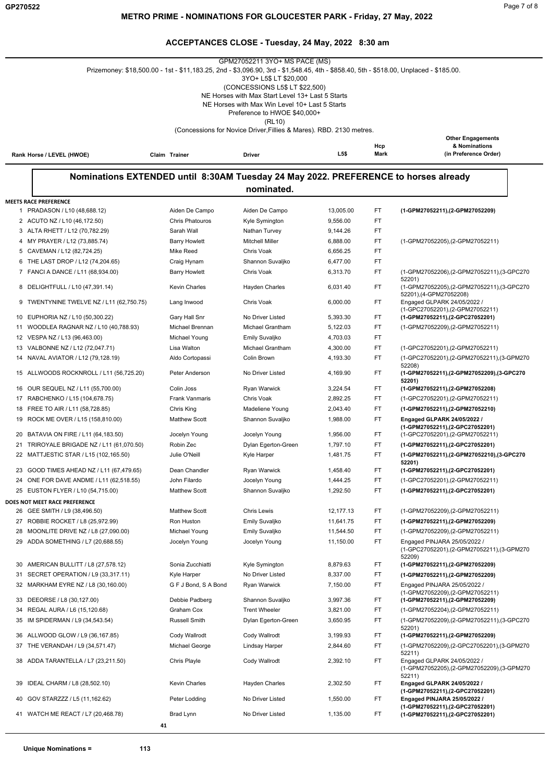|                                                                   |                        | GPM27052211 3YO+ MS PACE (MS)<br>Prizemoney: \$18,500.00 - 1st - \$11,183.25, 2nd - \$3,096.90, 3rd - \$1,548.45, 4th - \$858.40, 5th - \$518.00, Unplaced - \$185.00.<br>3YO+ L5\$ LT \$20,000<br>(CONCESSIONS L5\$ LT \$22,500)<br>NE Horses with Max Start Level 13+ Last 5 Starts<br>NE Horses with Max Win Level 10+ Last 5 Starts<br>Preference to HWOE \$40,000+ |           |             |                                                                                    |
|-------------------------------------------------------------------|------------------------|-------------------------------------------------------------------------------------------------------------------------------------------------------------------------------------------------------------------------------------------------------------------------------------------------------------------------------------------------------------------------|-----------|-------------|------------------------------------------------------------------------------------|
|                                                                   |                        | (RL10)                                                                                                                                                                                                                                                                                                                                                                  |           |             |                                                                                    |
|                                                                   |                        | (Concessions for Novice Driver, Fillies & Mares). RBD. 2130 metres.                                                                                                                                                                                                                                                                                                     | L5\$      | Hcp<br>Mark | <b>Other Engagements</b><br>& Nominations<br>(in Preference Order)                 |
| Rank Horse / LEVEL (HWOE)                                         | Claim Trainer          | Driver                                                                                                                                                                                                                                                                                                                                                                  |           |             |                                                                                    |
|                                                                   |                        | Nominations EXTENDED until 8:30AM Tuesday 24 May 2022. PREFERENCE to horses already                                                                                                                                                                                                                                                                                     |           |             |                                                                                    |
|                                                                   |                        | nominated.                                                                                                                                                                                                                                                                                                                                                              |           |             |                                                                                    |
| <b>MEETS RACE PREFERENCE</b>                                      |                        |                                                                                                                                                                                                                                                                                                                                                                         |           |             |                                                                                    |
| 1 PRADASON / L10 (48,688.12)                                      | Aiden De Campo         | Aiden De Campo                                                                                                                                                                                                                                                                                                                                                          | 13,005.00 | FT          | (1-GPM27052211), (2-GPM27052209)                                                   |
| 2 ACUTO NZ / L10 (46,172.50)                                      | <b>Chris Phatouros</b> | Kyle Symington                                                                                                                                                                                                                                                                                                                                                          | 9,556.00  | FT          |                                                                                    |
| 3 ALTA RHETT / L12 (70,782.29)                                    | Sarah Wall             | Nathan Turvey                                                                                                                                                                                                                                                                                                                                                           | 9,144.26  | FT          |                                                                                    |
| 4 MY PRAYER / L12 (73,885.74)                                     | <b>Barry Howlett</b>   | <b>Mitchell Miller</b>                                                                                                                                                                                                                                                                                                                                                  | 6,888.00  | FT          | (1-GPM27052205),(2-GPM27052211)                                                    |
| 5 CAVEMAN / L12 (82,724.25)                                       | Mike Reed              | Chris Voak                                                                                                                                                                                                                                                                                                                                                              | 6,656.25  | FT          |                                                                                    |
| 6 THE LAST DROP / L12 (74,204.65)                                 | Craig Hynam            | Shannon Suvaljko                                                                                                                                                                                                                                                                                                                                                        | 6,477.00  | FT          |                                                                                    |
| 7 FANCI A DANCE / L11 (68,934.00)                                 | <b>Barry Howlett</b>   | Chris Voak                                                                                                                                                                                                                                                                                                                                                              | 6,313.70  | FT          | (1-GPM27052206),(2-GPM27052211),(3-GPC270                                          |
| 8 DELIGHTFULL / L10 (47,391.14)                                   | <b>Kevin Charles</b>   | Hayden Charles                                                                                                                                                                                                                                                                                                                                                          | 6,031.40  | FT.         | 52201)<br>(1-GPM27052205),(2-GPM27052211),(3-GPC270                                |
| TWENTYNINE TWELVE NZ / L11 (62,750.75)<br>9                       | Lang Inwood            | Chris Voak                                                                                                                                                                                                                                                                                                                                                              | 6.000.00  | FT.         | 52201), (4-GPM27052208)<br>Engaged GLPARK 24/05/2022 /                             |
| EUPHORIA NZ / L10 (50,300.22)<br>10                               | Gary Hall Snr          | No Driver Listed                                                                                                                                                                                                                                                                                                                                                        | 5,393.30  | FT.         | (1-GPC27052201),(2-GPM27052211)<br>(1-GPM27052211),(2-GPC27052201)                 |
| 11 WOODLEA RAGNAR NZ / L10 (40,788.93)                            | Michael Brennan        | Michael Grantham                                                                                                                                                                                                                                                                                                                                                        | 5,122.03  | FT          | (1-GPM27052209),(2-GPM27052211)                                                    |
|                                                                   | Michael Young          | Emily Suvaljko                                                                                                                                                                                                                                                                                                                                                          | 4,703.03  | FT          |                                                                                    |
| 12 VESPA NZ / L13 (96,463.00)<br>13 VALBONNE NZ / L12 (72,047.71) | Lisa Walton            | Michael Grantham                                                                                                                                                                                                                                                                                                                                                        | 4,300.00  | FT          | (1-GPC27052201), (2-GPM27052211)                                                   |
| 14 NAVAL AVIATOR / L12 (79,128.19)                                | Aldo Cortopassi        | Colin Brown                                                                                                                                                                                                                                                                                                                                                             | 4,193.30  | FT          | (1-GPC27052201),(2-GPM27052211),(3-GPM270                                          |
|                                                                   |                        |                                                                                                                                                                                                                                                                                                                                                                         |           |             | 52208)                                                                             |
| 15 ALLWOODS ROCKNROLL / L11 (56,725.20)                           | Peter Anderson         | No Driver Listed                                                                                                                                                                                                                                                                                                                                                        | 4,169.90  | FT.         | (1-GPM27052211),(2-GPM27052209),(3-GPC270<br>52201)                                |
| 16 OUR SEQUEL NZ / L11 (55,700.00)                                | Colin Joss             | Ryan Warwick                                                                                                                                                                                                                                                                                                                                                            | 3,224.54  | FT.         | (1-GPM27052211),(2-GPM27052208)                                                    |
| 17 RABCHENKO / L15 (104,678.75)                                   | <b>Frank Vanmaris</b>  | Chris Voak                                                                                                                                                                                                                                                                                                                                                              | 2,892.25  | FT.         | (1-GPC27052201), (2-GPM27052211)                                                   |
| FREE TO AIR / L11 (58,728.85)<br>18                               | Chris King             | Madeliene Young                                                                                                                                                                                                                                                                                                                                                         | 2,043.40  | FT          | (1-GPM27052211),(2-GPM27052210)                                                    |
| ROCK ME OVER / L15 (158,810.00)<br>19                             | <b>Matthew Scott</b>   | Shannon Suvaljko                                                                                                                                                                                                                                                                                                                                                        | 1,988.00  | FT          | Engaged GLPARK 24/05/2022 /<br>(1-GPM27052211),(2-GPC27052201)                     |
| BATAVIA ON FIRE / L11 (64,183.50)<br>20                           | Jocelyn Young          | Jocelyn Young                                                                                                                                                                                                                                                                                                                                                           | 1,956.00  | FT.         | (1-GPC27052201),(2-GPM27052211)                                                    |
| TRIROYALE BRIGADE NZ / L11 (61,070.50)<br>21                      | Robin Zec              | Dylan Egerton-Green                                                                                                                                                                                                                                                                                                                                                     | 1.797.10  | FT          | (1-GPM27052211),(2-GPC27052201)                                                    |
| 22 MATTJESTIC STAR / L15 (102,165.50)                             | Julie O'Neill          | Kyle Harper                                                                                                                                                                                                                                                                                                                                                             | 1,481.75  | FT.         | (1-GPM27052211),(2-GPM27052210),(3-GPC270<br>52201)                                |
| GOOD TIMES AHEAD NZ / L11 (67,479.65)                             | Dean Chandler          | Ryan Warwick                                                                                                                                                                                                                                                                                                                                                            | 1,458.40  | FT          | (1-GPM27052211),(2-GPC27052201)                                                    |
| 24 ONE FOR DAVE ANDME / L11 (62,518.55)                           | John Filardo           | Jocelyn Young                                                                                                                                                                                                                                                                                                                                                           | 1,444.25  | FT          | (1-GPC27052201), (2-GPM27052211)                                                   |
| 25 EUSTON FLYER / L10 (54,715.00)                                 | <b>Matthew Scott</b>   | Shannon Suvaljko                                                                                                                                                                                                                                                                                                                                                        | 1,292.50  | FT          | (1-GPM27052211),(2-GPC27052201)                                                    |
| DOES NOT MEET RACE PREFERENCE                                     |                        |                                                                                                                                                                                                                                                                                                                                                                         |           |             |                                                                                    |
| 26 GEE SMITH / L9 (38,496.50)                                     | <b>Matthew Scott</b>   | <b>Chris Lewis</b>                                                                                                                                                                                                                                                                                                                                                      | 12,177.13 | FT.         | (1-GPM27052209),(2-GPM27052211)                                                    |
| 27 ROBBIE ROCKET / L8 (25,972.99)                                 | Ron Huston             | Emily Suvaljko                                                                                                                                                                                                                                                                                                                                                          | 11,641.75 | FT          | (1-GPM27052211),(2-GPM27052209)                                                    |
| 28 MOONLITE DRIVE NZ / L8 (27,090.00)                             | Michael Young          | Emily Suvaljko                                                                                                                                                                                                                                                                                                                                                          | 11,544.50 | FT          | (1-GPM27052209),(2-GPM27052211)                                                    |
| 29 ADDA SOMETHING / L7 (20,688.55)                                | Jocelyn Young          | Jocelyn Young                                                                                                                                                                                                                                                                                                                                                           | 11,150.00 | FT.         | Engaged PINJARA 25/05/2022 /<br>(1-GPC27052201),(2-GPM27052211),(3-GPM270          |
| AMERICAN BULLITT / L8 (27,578.12)<br>30                           | Sonia Zucchiatti       | Kyle Symington                                                                                                                                                                                                                                                                                                                                                          | 8,879.63  | FT.         | 52209)<br>(1-GPM27052211),(2-GPM27052209)                                          |
| 31 SECRET OPERATION / L9 (33,317.11)                              | Kyle Harper            | No Driver Listed                                                                                                                                                                                                                                                                                                                                                        | 8,337.00  | FT          | (1-GPM27052211),(2-GPM27052209)                                                    |
| 32 MARKHAM EYRE NZ / L8 (30,160.00)                               | G F J Bond, S A Bond   | Ryan Warwick                                                                                                                                                                                                                                                                                                                                                            | 7,150.00  | FT.         | Engaged PINJARA 25/05/2022 /                                                       |
| 33 DEEORSE / L8 (30,127.00)                                       | Debbie Padberg         | Shannon Suvaljko                                                                                                                                                                                                                                                                                                                                                        | 3,997.36  | FT.         | (1-GPM27052209),(2-GPM27052211)                                                    |
| 34 REGAL AURA / L6 (15,120.68)                                    | Graham Cox             | <b>Trent Wheeler</b>                                                                                                                                                                                                                                                                                                                                                    | 3,821.00  | FT          | (1-GPM27052211),(2-GPM27052209)                                                    |
|                                                                   | Russell Smith          |                                                                                                                                                                                                                                                                                                                                                                         |           | FT          | (1-GPM27052204), (2-GPM27052211)<br>(1-GPM27052209),(2-GPM27052211),(3-GPC270      |
| 35 IM SPIDERMAN / L9 (34,543.54)                                  |                        | Dylan Egerton-Green                                                                                                                                                                                                                                                                                                                                                     | 3,650.95  |             | 52201)                                                                             |
| 36 ALLWOOD GLOW / L9 (36,167.85)                                  | Cody Wallrodt          | Cody Wallrodt                                                                                                                                                                                                                                                                                                                                                           | 3,199.93  | FT.         | (1-GPM27052211),(2-GPM27052209)                                                    |
| 37 THE VERANDAH / L9 (34,571.47)                                  | Michael George         | Lindsay Harper                                                                                                                                                                                                                                                                                                                                                          | 2,844.60  | FT          | (1-GPM27052209),(2-GPC27052201),(3-GPM270                                          |
| 38 ADDA TARANTELLA / L7 (23,211.50)                               | Chris Playle           | Cody Wallrodt                                                                                                                                                                                                                                                                                                                                                           | 2,392.10  | FT          | 52211)<br>Engaged GLPARK 24/05/2022 /<br>(1-GPM27052205),(2-GPM27052209),(3-GPM270 |
| 39 IDEAL CHARM / L8 (28,502.10)                                   | Kevin Charles          | <b>Hayden Charles</b>                                                                                                                                                                                                                                                                                                                                                   | 2,302.50  | FT.         | 52211)<br>Engaged GLPARK 24/05/2022 /                                              |
| 40 GOV STARZZZ / L5 (11,162.62)                                   | Peter Lodding          | No Driver Listed                                                                                                                                                                                                                                                                                                                                                        | 1,550.00  | FT          | (1-GPM27052211),(2-GPC27052201)<br>Engaged PINJARA 25/05/2022 /                    |
| 41 WATCH ME REACT / L7 (20,468.78)                                | Brad Lynn              | No Driver Listed                                                                                                                                                                                                                                                                                                                                                        | 1,135.00  | FT.         | (1-GPM27052211),(2-GPC27052201)<br>(1-GPM27052211),(2-GPC27052201)                 |
|                                                                   | 41                     |                                                                                                                                                                                                                                                                                                                                                                         |           |             |                                                                                    |